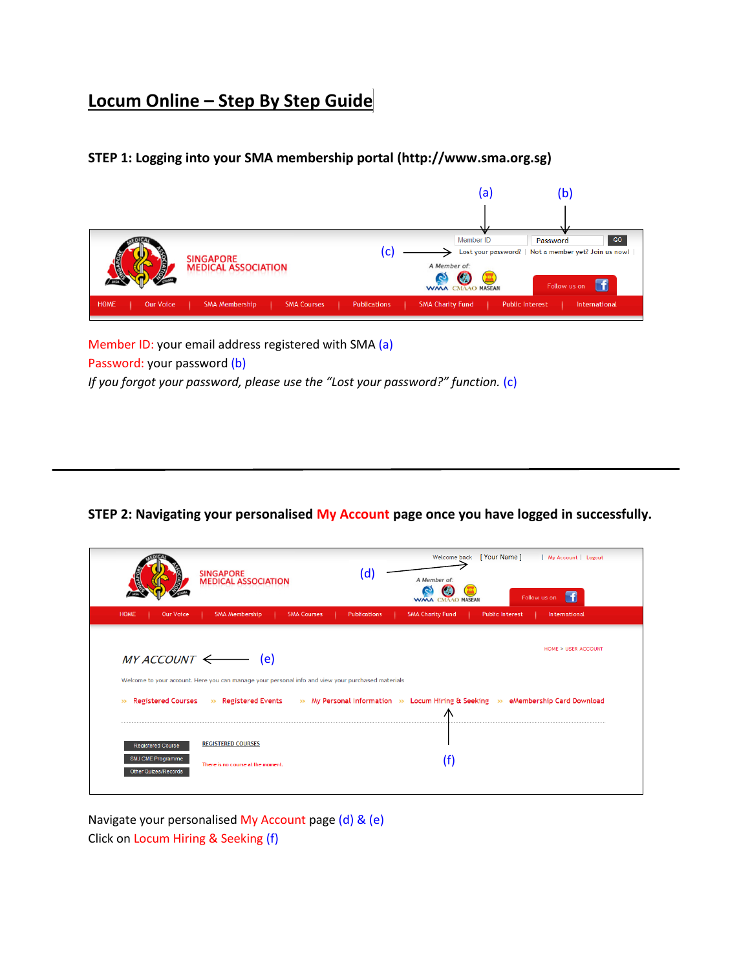# **Locum Online – Step By Step Guide**

## **STEP 1: Logging into your SMA membership portal (http://www.sma.org.sg)**



Member ID: your email address registered with SMA (a) Password: your password (b) *If you forgot your password, please use the "Lost your password?" function.* (c)

#### **STEP 2: Navigating your personalised My Account page once you have logged in successfully.**

|                                                                              | <b>SINGAPORE</b><br><b>MEDICAL ASSOCIATION</b>                                                    | (d)                 | [Your Name]<br>Welcome back<br>  My Account   Logout<br>A Member of:<br>Follow us on<br><b>CMAAO MASEAN</b>        |
|------------------------------------------------------------------------------|---------------------------------------------------------------------------------------------------|---------------------|--------------------------------------------------------------------------------------------------------------------|
| <b>HOME</b><br><b>Our Voice</b>                                              | <b>SMA Membership</b><br><b>SMA Courses</b>                                                       | <b>Publications</b> | <b>SMA Charity Fund</b><br><b>Public Interest</b><br>International                                                 |
| $MY$ ACCOUNT $\leftarrow$                                                    | (e)                                                                                               |                     | HOME > USER ACCOUNT                                                                                                |
|                                                                              | Welcome to your account. Here you can manage your personal info and view your purchased materials |                     |                                                                                                                    |
| <b>Registered Courses</b><br>$\rightarrow$                                   |                                                                                                   |                     | $\gg$ Registered Events $\gg$ My Personal Information $\gg$ Locum Hiring & Seeking $\gg$ eMembership Card Download |
| <b>Registered Course</b><br>SMJ CME Programme<br><b>Other Quizes/Records</b> | <b>REGISTERED COURSES</b><br>There is no course at the moment.                                    |                     | (f)                                                                                                                |

Navigate your personalised My Account page (d) & (e) Click on Locum Hiring & Seeking (f)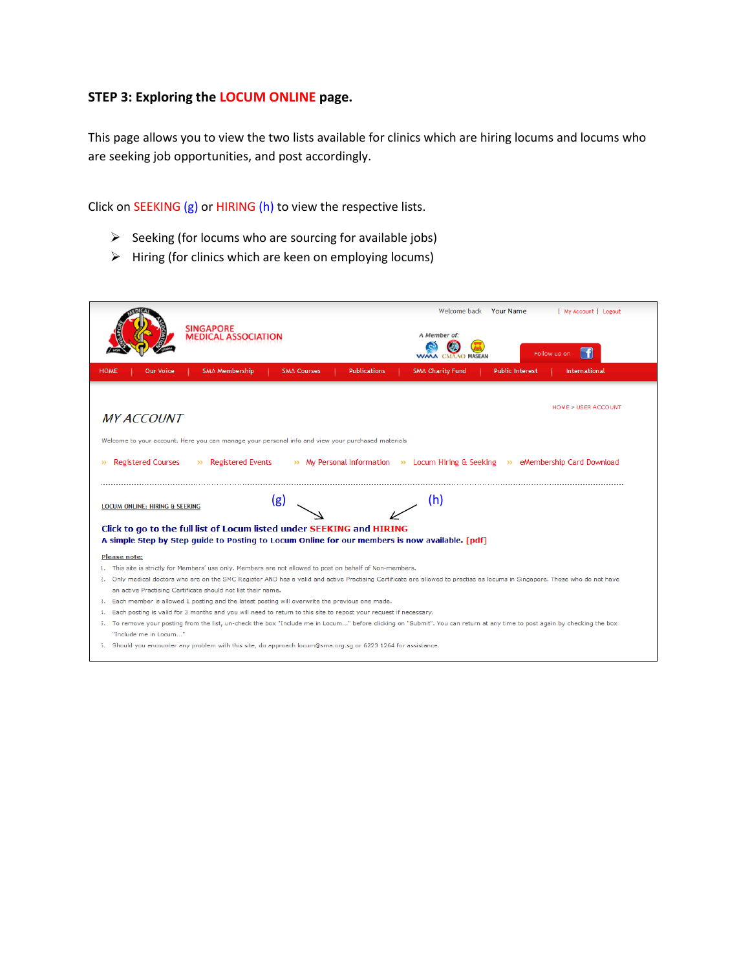## **STEP 3: Exploring the LOCUM ONLINE page.**

This page allows you to view the two lists available for clinics which are hiring locums and locums who are seeking job opportunities, and post accordingly.

Click on SEEKING (g) or HIRING (h) to view the respective lists.

- $\triangleright$  Seeking (for locums who are sourcing for available jobs)
- $\triangleright$  Hiring (for clinics which are keen on employing locums)

|                                            | <b>SINGAPORE</b><br><b>MEDICAL ASSOCIATION</b>                                                                   |                    |                     | Welcome back<br>A Member of:                                                                                                                                                | <b>Your Name</b>       | My Account   Logout<br>Follow us on |
|--------------------------------------------|------------------------------------------------------------------------------------------------------------------|--------------------|---------------------|-----------------------------------------------------------------------------------------------------------------------------------------------------------------------------|------------------------|-------------------------------------|
| <b>HOME</b><br><b>Our Voice</b>            | <b>SMA Membership</b>                                                                                            | <b>SMA Courses</b> | <b>Publications</b> | <b>SMA Charity Fund</b>                                                                                                                                                     | <b>Public Interest</b> | <b>International</b>                |
| <b>MY ACCOUNT</b>                          |                                                                                                                  |                    |                     |                                                                                                                                                                             |                        | <b>HOME &gt; USER ACCOUNT</b>       |
|                                            | Welcome to your account. Here you can manage your personal info and view your purchased materials                |                    |                     |                                                                                                                                                                             |                        |                                     |
|                                            |                                                                                                                  |                    |                     |                                                                                                                                                                             |                        |                                     |
|                                            |                                                                                                                  |                    |                     |                                                                                                                                                                             |                        |                                     |
| <b>Registered Courses</b><br>$\rightarrow$ | » Registered Events                                                                                              |                    |                     | >> My Personal Information >> Locum Hiring & Seeking >> eMembership Card Download                                                                                           |                        |                                     |
|                                            |                                                                                                                  |                    |                     |                                                                                                                                                                             |                        |                                     |
| LOCUM ONLINE: HIRING & SEEKING             |                                                                                                                  | (g)                |                     | (h)                                                                                                                                                                         |                        |                                     |
|                                            |                                                                                                                  |                    |                     |                                                                                                                                                                             |                        |                                     |
|                                            | Click to go to the full list of Locum listed under SEEKING and HIRING                                            |                    |                     | A simple Step by Step quide to Posting to Locum Online for our members is now available. [pdf]                                                                              |                        |                                     |
|                                            |                                                                                                                  |                    |                     |                                                                                                                                                                             |                        |                                     |
| <b>Please note:</b>                        |                                                                                                                  |                    |                     |                                                                                                                                                                             |                        |                                     |
|                                            | 1. This site is strictly for Members' use only. Members are not allowed to post on behalf of Non-members.        |                    |                     |                                                                                                                                                                             |                        |                                     |
|                                            |                                                                                                                  |                    |                     | 2. Only medical doctors who are on the SMC Register AND has a valid and active Practising Certificate are allowed to practise as locums in Singapore. Those who do not have |                        |                                     |
|                                            | an active Practising Certificate should not list their name.                                                     |                    |                     |                                                                                                                                                                             |                        |                                     |
|                                            | 3. Each member is allowed 1 posting and the latest posting will overwrite the previous one made.                 |                    |                     |                                                                                                                                                                             |                        |                                     |
|                                            | Each posting is valid for 3 months and you will need to return to this site to repost your request if necessary. |                    |                     |                                                                                                                                                                             |                        |                                     |
| "Include me in Locum"                      |                                                                                                                  |                    |                     | 5. To remove your posting from the list, un-check the box "Include me in Locum" before clicking on "Submit". You can return at any time to post again by checking the box   |                        |                                     |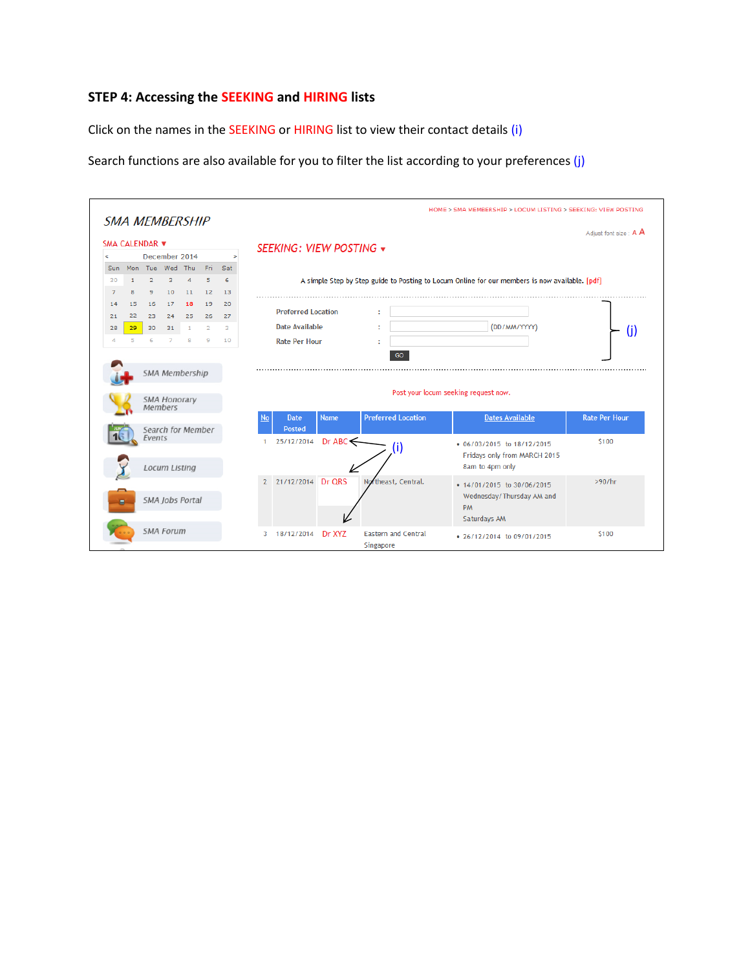## **STEP 4: Accessing the SEEKING and HIRING lists**

Click on the names in the SEEKING or HIRING list to view their contact details (i)

Search functions are also available for you to filter the list according to your preferences (j)

|                |                         |                |                                                  |              |                         |                    |                |                           |                                                                                                |                                            |                            |  | HOME > SMA MEMBERSHIP > LOCUM LISTING > SEEKING: VIEW POSTING                        |                       |  |
|----------------|-------------------------|----------------|--------------------------------------------------|--------------|-------------------------|--------------------|----------------|---------------------------|------------------------------------------------------------------------------------------------|--------------------------------------------|----------------------------|--|--------------------------------------------------------------------------------------|-----------------------|--|
|                |                         |                | <b>SMA MEMBERSHIP</b>                            |              |                         |                    |                |                           |                                                                                                |                                            |                            |  |                                                                                      | Adjust font size: A A |  |
| SMA CALENDAR ▼ |                         |                |                                                  |              |                         |                    |                |                           |                                                                                                |                                            |                            |  |                                                                                      |                       |  |
| ⋖              | December 2014<br>$\geq$ |                |                                                  |              | SEEKING: VIEW POSTING v |                    |                |                           |                                                                                                |                                            |                            |  |                                                                                      |                       |  |
| Sun            |                         |                | Mon Tue Wed Thu                                  |              | Fri                     | Sat                |                |                           |                                                                                                |                                            |                            |  |                                                                                      |                       |  |
| 30             | $\mathbf{1}$            | $\overline{2}$ | з                                                | 4            | 5                       | 6                  |                |                           |                                                                                                |                                            |                            |  |                                                                                      |                       |  |
| $\overline{z}$ | 8                       | 9              | 10                                               | 11           | 12                      | 13                 |                |                           | A simple Step by Step guide to Posting to Locum Online for our members is now available. [pdf] |                                            |                            |  |                                                                                      |                       |  |
| 14             | 15                      | 16             | 17                                               | 18           | 19                      | 20                 |                |                           |                                                                                                |                                            |                            |  |                                                                                      |                       |  |
|                | 22                      | 23             | 24                                               | 25           | 26                      |                    |                | <b>Preferred Location</b> |                                                                                                |                                            |                            |  |                                                                                      |                       |  |
| 21             |                         |                |                                                  |              |                         | 27<br>$\mathbf{B}$ |                | <b>Date Available</b>     |                                                                                                |                                            |                            |  |                                                                                      |                       |  |
| 28             | 29                      | 30             | 31                                               | $\mathbf{1}$ | $\overline{2}$          |                    |                |                           |                                                                                                |                                            | (DD/MM/YYYY)<br>(i)        |  |                                                                                      |                       |  |
|                |                         | 6              |                                                  | 8            | 9                       | 10                 |                | <b>Rate Per Hour</b>      |                                                                                                |                                            |                            |  |                                                                                      |                       |  |
|                |                         |                | <b>SMA Membership</b><br>SMA Honorary<br>Members |              |                         |                    |                |                           |                                                                                                | GO<br>Post your locum seeking request now. |                            |  |                                                                                      |                       |  |
|                |                         |                | Search for Member                                |              |                         |                    | No             | <b>Date</b><br>Posted     | <b>Name</b>                                                                                    |                                            | <b>Preferred Location</b>  |  | <b>Dates Available</b>                                                               | <b>Rate Per Hour</b>  |  |
|                |                         | Events         | <b>Locum Listing</b>                             |              |                         |                    |                | 25/12/2014                | $Dr$ ABC $\leq$                                                                                |                                            | O                          |  | • 06/03/2015 to 18/12/2015<br>Fridays only from MARCH 2015<br>8am to 4pm only        | \$100                 |  |
|                |                         |                | SMA Jobs Portal                                  |              |                         |                    | $\overline{2}$ | 21/12/2014 Dr QRS         |                                                                                                |                                            | Northeast, Central.        |  | • 14/01/2015 to 30/06/2015<br>Wednesday/Thursday AM and<br><b>PM</b><br>Saturdays AM | >90/hr                |  |
|                |                         |                | <b>SMA Forum</b>                                 |              |                         |                    | 3              | 18/12/2014                | Dr XYZ                                                                                         | Singapore                                  | <b>Eastern and Central</b> |  | • 26/12/2014 to 09/01/2015                                                           | \$100                 |  |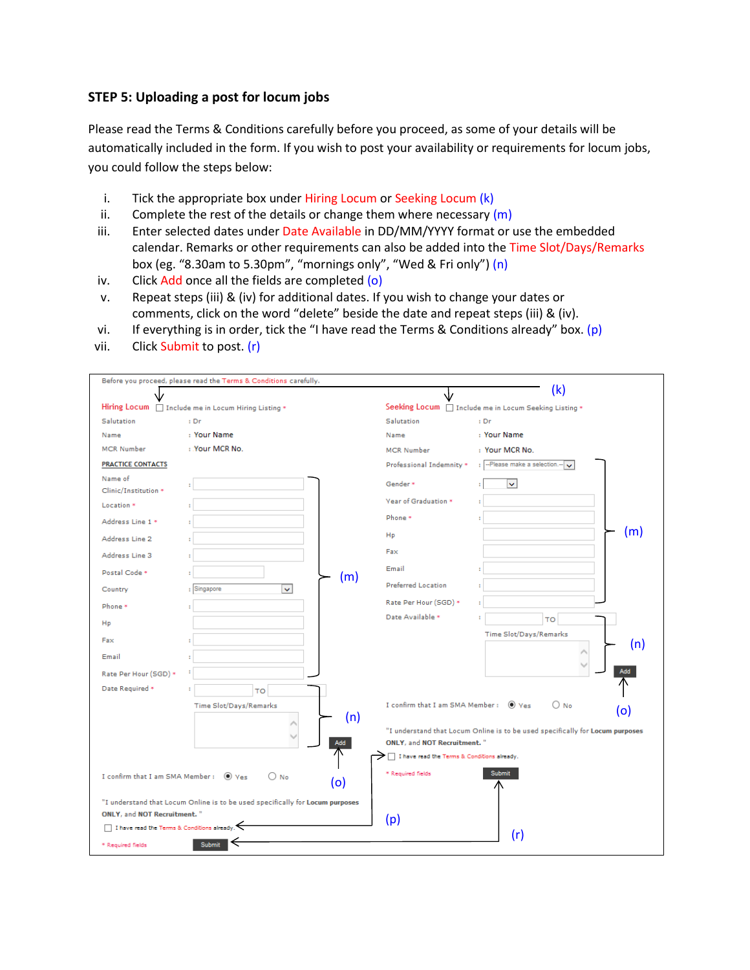#### **STEP 5: Uploading a post for locum jobs**

Please read the Terms & Conditions carefully before you proceed, as some of your details will be automatically included in the form. If you wish to post your availability or requirements for locum jobs, you could follow the steps below:

- i. Tick the appropriate box under Hiring Locum or Seeking Locum (k)
- ii. Complete the rest of the details or change them where necessary  $(m)$
- iii. Enter selected dates under Date Available in DD/MM/YYYY format or use the embedded calendar. Remarks or other requirements can also be added into the Time Slot/Days/Remarks box (eg. "8.30am to 5.30pm", "mornings only", "Wed & Fri only") (n)
- iv. Click  $Add$  once all the fields are completed  $(o)$
- v. Repeat steps (iii) & (iv) for additional dates. If you wish to change your dates or comments, click on the word "delete" beside the date and repeat steps (iii) & (iv).
- vi. If everything is in order, tick the "I have read the Terms & Conditions already" box. (p)
- vii. Click Submit to post. (r)

|                                                                                           | Before you proceed, please read the Terms & Conditions carefully.             |                                                                                                              |
|-------------------------------------------------------------------------------------------|-------------------------------------------------------------------------------|--------------------------------------------------------------------------------------------------------------|
|                                                                                           |                                                                               | (k)                                                                                                          |
|                                                                                           | Hiring Locum   Include me in Locum Hiring Listing *                           | Seeking Locum   Include me in Locum Seeking Listing *                                                        |
| Salutation                                                                                | $:$ Dr                                                                        | Salutation<br>$:$ Dr                                                                                         |
| Name                                                                                      | : Your Name                                                                   | : Your Name<br>Name                                                                                          |
| <b>MCR Number</b>                                                                         | : Your MCR No.                                                                | <b>MCR Number</b><br>: Your MCR No.                                                                          |
| <b>PRACTICE CONTACTS</b>                                                                  |                                                                               | : - Please make a selection .-<br>Professional Indemnity *                                                   |
| Name of<br>Clinic/Institution *                                                           |                                                                               | Gender*<br>v.                                                                                                |
| Location <sup>*</sup>                                                                     |                                                                               | Vear of Graduation *                                                                                         |
| Address Line 1 *                                                                          |                                                                               | Phone *                                                                                                      |
| Address Line 2                                                                            |                                                                               | (m)<br>Hp                                                                                                    |
| Address Line 3                                                                            |                                                                               | Fax                                                                                                          |
| Postal Code *                                                                             | (m)                                                                           | Email                                                                                                        |
| Country                                                                                   | : Singapore<br>Ŷ.                                                             | Preferred Location                                                                                           |
| Phone *                                                                                   |                                                                               | Rate Per Hour (SGD) *                                                                                        |
| Hp                                                                                        |                                                                               | Date Available *<br>TO                                                                                       |
| Fax                                                                                       |                                                                               | Time Slot/Days/Remarks<br>(n)                                                                                |
| Email                                                                                     |                                                                               |                                                                                                              |
| Rate Per Hour (SGD) *                                                                     |                                                                               | Add                                                                                                          |
| Date Required *                                                                           | ÷<br>TO                                                                       |                                                                                                              |
|                                                                                           | Time Slot/Days/Remarks<br>(n)                                                 | I confirm that I am SMA Member: (a) Yes<br>$\bigcirc$ No<br>(o)                                              |
|                                                                                           | Add                                                                           | "I understand that Locum Online is to be used specifically for Locum purposes<br>ONLY, and NOT Recruitment." |
|                                                                                           |                                                                               | I have read the Terms & Conditions already.                                                                  |
| I confirm that I am SMA Member :                                                          | $\bigcirc$ No<br>$\bullet$ Yes<br>(o)                                         | <b>Submit</b><br>* Required fields                                                                           |
|                                                                                           | "I understand that Locum Online is to be used specifically for Locum purposes |                                                                                                              |
| <b>ONLY, and NOT Recruitment.</b> "<br>$\Box$ I have read the Terms & Conditions already. |                                                                               | (p)                                                                                                          |
|                                                                                           |                                                                               | (r)                                                                                                          |
| * Required fields                                                                         | <b>Submit</b>                                                                 |                                                                                                              |